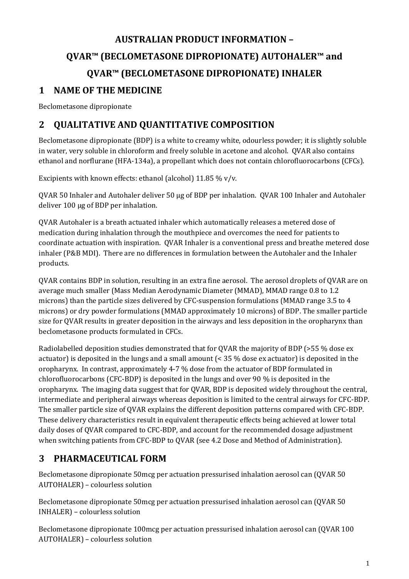# **AUSTRALIAN PRODUCT INFORMATION – QVAR™ (BECLOMETASONE DIPROPIONATE) AUTOHALER™ and QVAR™ (BECLOMETASONE DIPROPIONATE) INHALER 1 NAME OF THE MEDICINE**

Beclometasone dipropionate

# **2 QUALITATIVE AND QUANTITATIVE COMPOSITION**

Beclometasone dipropionate (BDP) is a white to creamy white, odourless powder; it is slightly soluble in water, very soluble in chloroform and freely soluble in acetone and alcohol. QVAR also contains ethanol and norflurane (HFA-134a), a propellant which does not contain chlorofluorocarbons (CFCs).

Excipients with known effects: ethanol (alcohol) 11.85 % v/v.

QVAR 50 Inhaler and Autohaler deliver 50 µg of BDP per inhalation. QVAR 100 Inhaler and Autohaler deliver 100 µg of BDP per inhalation.

QVAR Autohaler is a breath actuated inhaler which automatically releases a metered dose of medication during inhalation through the mouthpiece and overcomes the need for patients to coordinate actuation with inspiration. QVAR Inhaler is a conventional press and breathe metered dose inhaler (P&B MDI). There are no differences in formulation between the Autohaler and the Inhaler products.

QVAR contains BDP in solution, resulting in an extra fine aerosol. The aerosol droplets of QVAR are on average much smaller (Mass Median Aerodynamic Diameter (MMAD), MMAD range 0.8 to 1.2 microns) than the particle sizes delivered by CFC-suspension formulations (MMAD range 3.5 to 4 microns) or dry powder formulations (MMAD approximately 10 microns) of BDP. The smaller particle size for QVAR results in greater deposition in the airways and less deposition in the oropharynx than beclometasone products formulated in CFCs.

Radiolabelled deposition studies demonstrated that for QVAR the majority of BDP (>55 % dose ex actuator) is deposited in the lungs and a small amount (< 35 % dose ex actuator) is deposited in the oropharynx. In contrast, approximately 4-7 % dose from the actuator of BDP formulated in chlorofluorocarbons (CFC-BDP) is deposited in the lungs and over 90 % is deposited in the oropharynx. The imaging data suggest that for QVAR, BDP is deposited widely throughout the central, intermediate and peripheral airways whereas deposition is limited to the central airways for CFC-BDP. The smaller particle size of QVAR explains the different deposition patterns compared with CFC-BDP. These delivery characteristics result in equivalent therapeutic effects being achieved at lower total daily doses of QVAR compared to CFC-BDP, and account for the recommended dosage adjustment when switching patients from CFC-BDP to QVAR (see 4.2 Dose and Method of Administration).

# **3 PHARMACEUTICAL FORM**

Beclometasone dipropionate 50mcg per actuation pressurised inhalation aerosol can (QVAR 50 AUTOHALER) – colourless solution

Beclometasone dipropionate 50mcg per actuation pressurised inhalation aerosol can (QVAR 50 INHALER) – colourless solution

Beclometasone dipropionate 100mcg per actuation pressurised inhalation aerosol can (QVAR 100 AUTOHALER) – colourless solution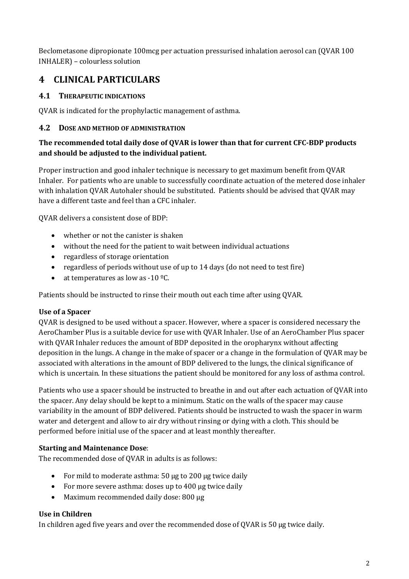Beclometasone dipropionate 100mcg per actuation pressurised inhalation aerosol can (QVAR 100 INHALER) – colourless solution

# **4 CLINICAL PARTICULARS**

# **4.1 THERAPEUTIC INDICATIONS**

QVAR is indicated for the prophylactic management of asthma.

# **4.2 DOSE AND METHOD OF ADMINISTRATION**

# **The recommended total daily dose of QVAR is lower than that for current CFC-BDP products and should be adjusted to the individual patient.**

Proper instruction and good inhaler technique is necessary to get maximum benefit from QVAR Inhaler. For patients who are unable to successfully coordinate actuation of the metered dose inhaler with inhalation QVAR Autohaler should be substituted. Patients should be advised that QVAR may have a different taste and feel than a CFC inhaler.

QVAR delivers a consistent dose of BDP:

- whether or not the canister is shaken
- without the need for the patient to wait between individual actuations
- regardless of storage orientation
- regardless of periods without use of up to 14 days (do not need to test fire)
- at temperatures as low as  $-10 \degree$ C.

Patients should be instructed to rinse their mouth out each time after using QVAR.

### **Use of a Spacer**

QVAR is designed to be used without a spacer. However, where a spacer is considered necessary the AeroChamber Plus is a suitable device for use with QVAR Inhaler. Use of an AeroChamber Plus spacer with QVAR Inhaler reduces the amount of BDP deposited in the oropharynx without affecting deposition in the lungs. A change in the make of spacer or a change in the formulation of QVAR may be associated with alterations in the amount of BDP delivered to the lungs, the clinical significance of which is uncertain. In these situations the patient should be monitored for any loss of asthma control.

Patients who use a spacer should be instructed to breathe in and out after each actuation of QVAR into the spacer. Any delay should be kept to a minimum. Static on the walls of the spacer may cause variability in the amount of BDP delivered. Patients should be instructed to wash the spacer in warm water and detergent and allow to air dry without rinsing or dying with a cloth. This should be performed before initial use of the spacer and at least monthly thereafter.

### **Starting and Maintenance Dose**:

The recommended dose of QVAR in adults is as follows:

- For mild to moderate asthma: 50 µg to 200 µg twice daily
- For more severe asthma: doses up to 400 µg twice daily
- Maximum recommended daily dose: 800 µg

### **Use in Children**

In children aged five years and over the recommended dose of OVAR is 50 µg twice daily.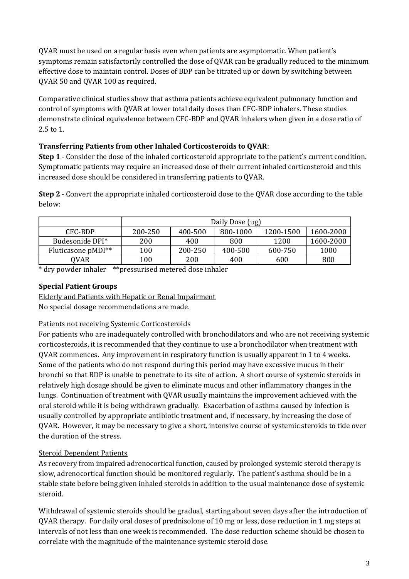QVAR must be used on a regular basis even when patients are asymptomatic. When patient's symptoms remain satisfactorily controlled the dose of QVAR can be gradually reduced to the minimum effective dose to maintain control. Doses of BDP can be titrated up or down by switching between QVAR 50 and QVAR 100 as required.

Comparative clinical studies show that asthma patients achieve equivalent pulmonary function and control of symptoms with QVAR at lower total daily doses than CFC-BDP inhalers. These studies demonstrate clinical equivalence between CFC-BDP and QVAR inhalers when given in a dose ratio of 2.5 to 1.

# **Transferring Patients from other Inhaled Corticosteroids to QVAR**:

**Step 1** - Consider the dose of the inhaled corticosteroid appropriate to the patient's current condition. Symptomatic patients may require an increased dose of their current inhaled corticosteroid and this increased dose should be considered in transferring patients to QVAR.

**Step 2** - Convert the appropriate inhaled corticosteroid dose to the QVAR dose according to the table below:

|                    | Daily Dose $\lceil \mu g \rceil$ |         |          |           |           |
|--------------------|----------------------------------|---------|----------|-----------|-----------|
| CFC-BDP            | 200-250                          | 400-500 | 800-1000 | 1200-1500 | 1600-2000 |
| Budesonide DPI*    | 200                              | 400     | 800      | 1200      | 1600-2000 |
| Fluticasone pMDI** | 100                              | 200-250 | 400-500  | 600-750   | 1000      |
| <b>OVAR</b>        | 100                              | 200     | 400      | 600       | 800       |

\* dry powder inhaler \*\*pressurised metered dose inhaler

## **Special Patient Groups**

Elderly and Patients with Hepatic or Renal Impairment

No special dosage recommendations are made.

### Patients not receiving Systemic Corticosteroids

For patients who are inadequately controlled with bronchodilators and who are not receiving systemic corticosteroids, it is recommended that they continue to use a bronchodilator when treatment with QVAR commences. Any improvement in respiratory function is usually apparent in 1 to 4 weeks. Some of the patients who do not respond during this period may have excessive mucus in their bronchi so that BDP is unable to penetrate to its site of action. A short course of systemic steroids in relatively high dosage should be given to eliminate mucus and other inflammatory changes in the lungs. Continuation of treatment with QVAR usually maintains the improvement achieved with the oral steroid while it is being withdrawn gradually. Exacerbation of asthma caused by infection is usually controlled by appropriate antibiotic treatment and, if necessary, by increasing the dose of QVAR. However, it may be necessary to give a short, intensive course of systemic steroids to tide over the duration of the stress.

# Steroid Dependent Patients

As recovery from impaired adrenocortical function, caused by prolonged systemic steroid therapy is slow, adrenocortical function should be monitored regularly. The patient's asthma should be in a stable state before being given inhaled steroids in addition to the usual maintenance dose of systemic steroid.

Withdrawal of systemic steroids should be gradual, starting about seven days after the introduction of QVAR therapy. For daily oral doses of prednisolone of 10 mg or less, dose reduction in 1 mg steps at intervals of not less than one week is recommended. The dose reduction scheme should be chosen to correlate with the magnitude of the maintenance systemic steroid dose.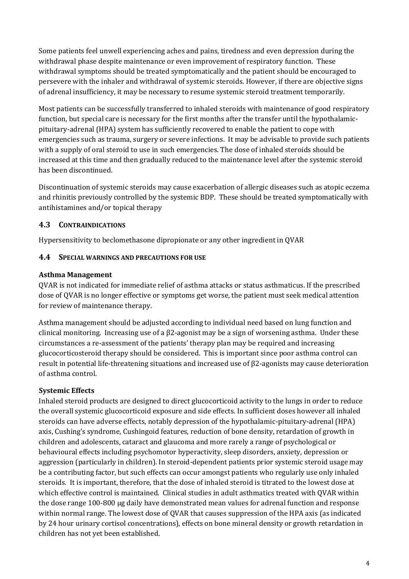Some patients feel unwell experiencing aches and pains, tiredness and even depression during the withdrawal phase despite maintenance or even improvement of respiratory function. These withdrawal symptoms should be treated symptomatically and the patient should be encouraged to persevere with the inhaler and withdrawal of systemic steroids. However, if there are objective signs of adrenal insufficiency, it may be necessary to resume systemic steroid treatment temporarily.

Most patients can be successfully transferred to inhaled steroids with maintenance of good respiratory function, but special care is necessary for the first months after the transfer until the hypothalamicpituitary-adrenal (HPA) system has sufficiently recovered to enable the patient to cope with emergencies such as trauma, surgery or severe infections. It may be advisable to provide such patients with a supply of oral steroid to use in such emergencies. The dose of inhaled steroids should be increased at this time and then gradually reduced to the maintenance level after the systemic steroid has been discontinued.

Discontinuation of systemic steroids may cause exacerbation of allergic diseases such as atopic eczema and rhinitis previously controlled by the systemic BDP. These should be treated symptomatically with antihistamines and/or topical therapy

# **4.3 CONTRAINDICATIONS**

Hypersensitivity to beclomethasone dipropionate or any other ingredient in QVAR

# **4.4 SPECIAL WARNINGS AND PRECAUTIONS FOR USE**

# **Asthma Management**

QVAR is not indicated for immediate relief of asthma attacks or status asthmaticus. If the prescribed dose of QVAR is no longer effective or symptoms get worse, the patient must seek medical attention for review of maintenance therapy.

Asthma management should be adjusted according to individual need based on lung function and clinical monitoring. Increasing use of a β2-agonist may be a sign of worsening asthma. Under these circumstances a re-assessment of the patients' therapy plan may be required and increasing glucocorticosteroid therapy should be considered. This is important since poor asthma control can result in potential life-threatening situations and increased use of β2-agonists may cause deterioration of asthma control.

# **Systemic Effects**

Inhaled steroid products are designed to direct glucocorticoid activity to the lungs in order to reduce the overall systemic glucocorticoid exposure and side effects. In sufficient doses however all inhaled steroids can have adverse effects, notably depression of the hypothalamic-pituitary-adrenal (HPA) axis, Cushing's syndrome, Cushingoid features, reduction of bone density, retardation of growth in children and adolescents, cataract and glaucoma and more rarely a range of psychological or behavioural effects including psychomotor hyperactivity, sleep disorders, anxiety, depression or aggression (particularly in children). In steroid-dependent patients prior systemic steroid usage may be a contributing factor, but such effects can occur amongst patients who regularly use only inhaled steroids. It is important, therefore, that the dose of inhaled steroid is titrated to the lowest dose at which effective control is maintained. Clinical studies in adult asthmatics treated with QVAR within the dose range 100-800 µg daily have demonstrated mean values for adrenal function and response within normal range. The lowest dose of QVAR that causes suppression of the HPA axis (as indicated by 24 hour urinary cortisol concentrations), effects on bone mineral density or growth retardation in children has not yet been established.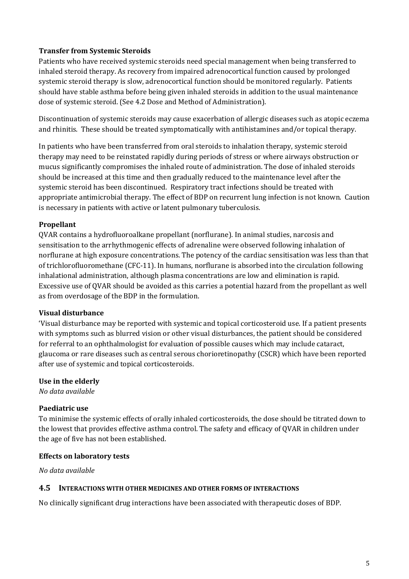#### **Transfer from Systemic Steroids**

Patients who have received systemic steroids need special management when being transferred to inhaled steroid therapy. As recovery from impaired adrenocortical function caused by prolonged systemic steroid therapy is slow, adrenocortical function should be monitored regularly. Patients should have stable asthma before being given inhaled steroids in addition to the usual maintenance dose of systemic steroid. (See 4.2 Dose and Method of Administration).

Discontinuation of systemic steroids may cause exacerbation of allergic diseases such as atopic eczema and rhinitis. These should be treated symptomatically with antihistamines and/or topical therapy.

In patients who have been transferred from oral steroids to inhalation therapy, systemic steroid therapy may need to be reinstated rapidly during periods of stress or where airways obstruction or mucus significantly compromises the inhaled route of administration. The dose of inhaled steroids should be increased at this time and then gradually reduced to the maintenance level after the systemic steroid has been discontinued. Respiratory tract infections should be treated with appropriate antimicrobial therapy. The effect of BDP on recurrent lung infection is not known. Caution is necessary in patients with active or latent pulmonary tuberculosis.

#### **Propellant**

QVAR contains a hydrofluoroalkane propellant (norflurane). In animal studies, narcosis and sensitisation to the arrhythmogenic effects of adrenaline were observed following inhalation of norflurane at high exposure concentrations. The potency of the cardiac sensitisation was less than that of trichlorofluoromethane (CFC-11). In humans, norflurane is absorbed into the circulation following inhalational administration, although plasma concentrations are low and elimination is rapid. Excessive use of QVAR should be avoided as this carries a potential hazard from the propellant as well as from overdosage of the BDP in the formulation.

#### **Visual disturbance**

'Visual disturbance may be reported with systemic and topical corticosteroid use. If a patient presents with symptoms such as blurred vision or other visual disturbances, the patient should be considered for referral to an ophthalmologist for evaluation of possible causes which may include cataract, glaucoma or rare diseases such as central serous chorioretinopathy (CSCR) which have been reported after use of systemic and topical corticosteroids.

#### **Use in the elderly**

*No data available*

#### **Paediatric use**

To minimise the systemic effects of orally inhaled corticosteroids, the dose should be titrated down to the lowest that provides effective asthma control. The safety and efficacy of QVAR in children under the age of five has not been established.

#### **Effects on laboratory tests**

*No data available*

#### **4.5 INTERACTIONS WITH OTHER MEDICINES AND OTHER FORMS OF INTERACTIONS**

No clinically significant drug interactions have been associated with therapeutic doses of BDP.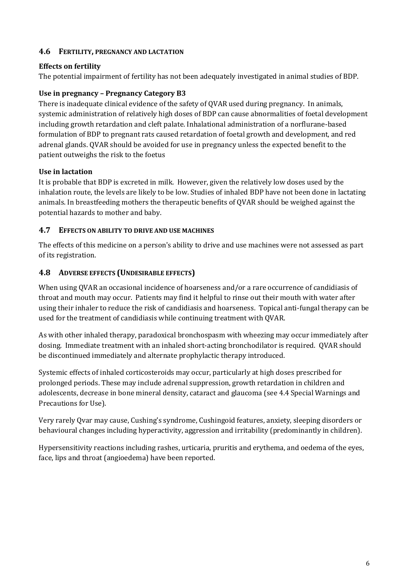### **4.6 FERTILITY, PREGNANCY AND LACTATION**

#### **Effects on fertility**

The potential impairment of fertility has not been adequately investigated in animal studies of BDP.

#### **Use in pregnancy – Pregnancy Category B3**

There is inadequate clinical evidence of the safety of QVAR used during pregnancy. In animals, systemic administration of relatively high doses of BDP can cause abnormalities of foetal development including growth retardation and cleft palate. Inhalational administration of a norflurane-based formulation of BDP to pregnant rats caused retardation of foetal growth and development, and red adrenal glands. QVAR should be avoided for use in pregnancy unless the expected benefit to the patient outweighs the risk to the foetus

#### **Use in lactation**

It is probable that BDP is excreted in milk. However, given the relatively low doses used by the inhalation route, the levels are likely to be low. Studies of inhaled BDP have not been done in lactating animals. In breastfeeding mothers the therapeutic benefits of QVAR should be weighed against the potential hazards to mother and baby.

#### **4.7 EFFECTS ON ABILITY TO DRIVE AND USE MACHINES**

The effects of this medicine on a person's ability to drive and use machines were not assessed as part of its registration.

#### **4.8 ADVERSE EFFECTS (UNDESIRABLE EFFECTS)**

When using QVAR an occasional incidence of hoarseness and/or a rare occurrence of candidiasis of throat and mouth may occur. Patients may find it helpful to rinse out their mouth with water after using their inhaler to reduce the risk of candidiasis and hoarseness. Topical anti-fungal therapy can be used for the treatment of candidiasis while continuing treatment with QVAR.

As with other inhaled therapy, paradoxical bronchospasm with wheezing may occur immediately after dosing. Immediate treatment with an inhaled short-acting bronchodilator is required. QVAR should be discontinued immediately and alternate prophylactic therapy introduced.

Systemic effects of inhaled corticosteroids may occur, particularly at high doses prescribed for prolonged periods. These may include adrenal suppression, growth retardation in children and adolescents, decrease in bone mineral density, cataract and glaucoma (see 4.4 Special Warnings and Precautions for Use).

Very rarely Qvar may cause, Cushing's syndrome, Cushingoid features, anxiety, sleeping disorders or behavioural changes including hyperactivity, aggression and irritability (predominantly in children).

Hypersensitivity reactions including rashes, urticaria, pruritis and erythema, and oedema of the eyes, face, lips and throat (angioedema) have been reported.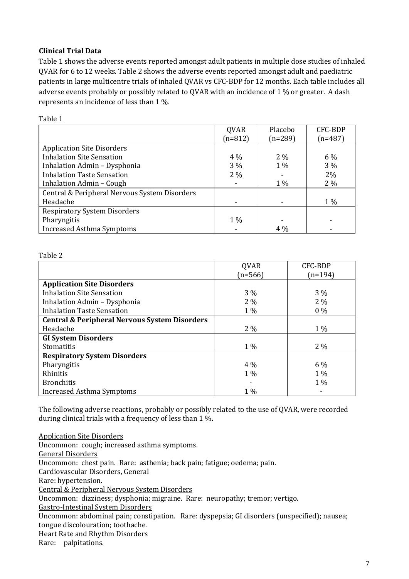#### **Clinical Trial Data**

Table 1 shows the adverse events reported amongst adult patients in multiple dose studies of inhaled QVAR for 6 to 12 weeks. Table 2 shows the adverse events reported amongst adult and paediatric patients in large multicentre trials of inhaled QVAR vs CFC-BDP for 12 months. Each table includes all adverse events probably or possibly related to QVAR with an incidence of 1 % or greater. A dash represents an incidence of less than 1 %.

|                                               | <b>QVAR</b>              | Placebo   | <b>CFC-BDP</b> |
|-----------------------------------------------|--------------------------|-----------|----------------|
|                                               | $(n=812)$                | $(n=289)$ | $(n=487)$      |
| <b>Application Site Disorders</b>             |                          |           |                |
| <b>Inhalation Site Sensation</b>              | $4\%$                    | $2\%$     | 6 %            |
| Inhalation Admin - Dysphonia                  | $3\%$                    | $1\%$     | $3\%$          |
| <b>Inhalation Taste Sensation</b>             | $2\%$                    |           | 2%             |
| Inhalation Admin - Cough                      | ٠                        | 1 %       | $2\%$          |
| Central & Peripheral Nervous System Disorders |                          |           |                |
| Headache                                      | $\overline{\phantom{a}}$ |           | 1 %            |
| <b>Respiratory System Disorders</b>           |                          |           |                |
| Pharyngitis                                   | $1\%$                    |           |                |
| <b>Increased Asthma Symptoms</b>              |                          | $4\%$     |                |

Table 2

Table 1

|                                                          | <b>QVAR</b> | <b>CFC-BDP</b> |
|----------------------------------------------------------|-------------|----------------|
|                                                          | $(n=566)$   | (n=194)        |
| <b>Application Site Disorders</b>                        |             |                |
| <b>Inhalation Site Sensation</b>                         | $3\%$       | $3\%$          |
| Inhalation Admin - Dysphonia                             | $2\%$       | $2\%$          |
| <b>Inhalation Taste Sensation</b>                        | 1 %         | $0\%$          |
| <b>Central &amp; Peripheral Nervous System Disorders</b> |             |                |
| Headache                                                 | $2\%$       | $1\%$          |
| <b>GI System Disorders</b>                               |             |                |
| <b>Stomatitis</b>                                        | $1\%$       | $2\%$          |
| <b>Respiratory System Disorders</b>                      |             |                |
| Pharyngitis                                              | 4 %         | 6 %            |
| Rhinitis                                                 | 1 %         | $1\%$          |
| <b>Bronchitis</b>                                        |             | $1\%$          |
| <b>Increased Asthma Symptoms</b>                         | $1\%$       |                |

The following adverse reactions, probably or possibly related to the use of QVAR, were recorded during clinical trials with a frequency of less than 1 %.

Application Site Disorders Uncommon: cough; increased asthma symptoms. General Disorders Uncommon: chest pain. Rare: asthenia; back pain; fatigue; oedema; pain. Cardiovascular Disorders, General Rare: hypertension. Central & Peripheral Nervous System Disorders Uncommon: dizziness; dysphonia; migraine. Rare: neuropathy; tremor; vertigo. Gastro-Intestinal System Disorders Uncommon: abdominal pain; constipation. Rare: dyspepsia; GI disorders (unspecified); nausea; tongue discolouration; toothache. Heart Rate and Rhythm Disorders Rare: palpitations.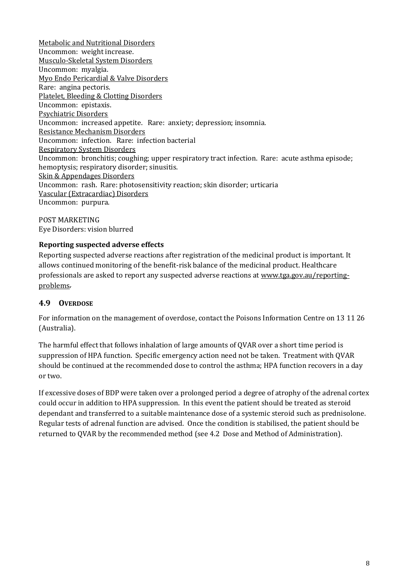Metabolic and Nutritional Disorders Uncommon: weight increase. Musculo-Skeletal System Disorders Uncommon: myalgia. Myo Endo Pericardial & Valve Disorders Rare: angina pectoris. Platelet, Bleeding & Clotting Disorders Uncommon: epistaxis. Psychiatric Disorders Uncommon: increased appetite. Rare: anxiety; depression; insomnia. Resistance Mechanism Disorders Uncommon: infection. Rare: infection bacterial Respiratory System Disorders Uncommon: bronchitis; coughing; upper respiratory tract infection. Rare: acute asthma episode; hemoptysis; respiratory disorder; sinusitis. Skin & Appendages Disorders Uncommon: rash. Rare: photosensitivity reaction; skin disorder; urticaria Vascular (Extracardiac) Disorders Uncommon: purpura.

POST MARKETING Eye Disorders: vision blurred

# **Reporting suspected adverse effects**

Reporting suspected adverse reactions after registration of the medicinal product is important. It allows continued monitoring of the benefit-risk balance of the medicinal product. Healthcare professionals are asked to report any suspected adverse reactions at [www.tga.gov.au/reporting](http://www.tga.gov.au/reporting-problems)[problems.](http://www.tga.gov.au/reporting-problems)

### **4.9 OVERDOSE**

For information on the management of overdose, contact the Poisons Information Centre on 13 11 26 (Australia).

The harmful effect that follows inhalation of large amounts of QVAR over a short time period is suppression of HPA function. Specific emergency action need not be taken. Treatment with QVAR should be continued at the recommended dose to control the asthma; HPA function recovers in a day or two.

If excessive doses of BDP were taken over a prolonged period a degree of atrophy of the adrenal cortex could occur in addition to HPA suppression. In this event the patient should be treated as steroid dependant and transferred to a suitable maintenance dose of a systemic steroid such as prednisolone. Regular tests of adrenal function are advised. Once the condition is stabilised, the patient should be returned to QVAR by the recommended method (see 4.2 Dose and Method of Administration).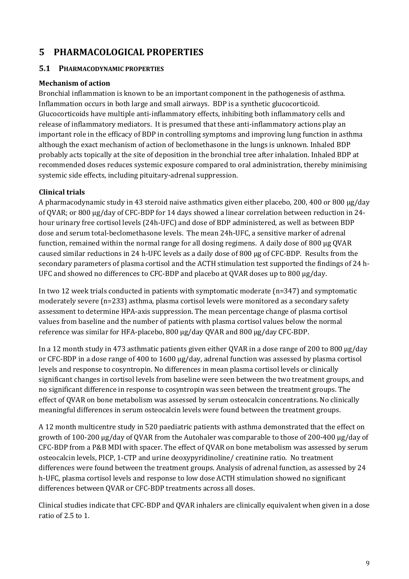# **5 PHARMACOLOGICAL PROPERTIES**

### **5.1 PHARMACODYNAMIC PROPERTIES**

#### **Mechanism of action**

Bronchial inflammation is known to be an important component in the pathogenesis of asthma. Inflammation occurs in both large and small airways. BDP is a synthetic glucocorticoid. Glucocorticoids have multiple anti-inflammatory effects, inhibiting both inflammatory cells and release of inflammatory mediators. It is presumed that these anti-inflammatory actions play an important role in the efficacy of BDP in controlling symptoms and improving lung function in asthma although the exact mechanism of action of beclomethasone in the lungs is unknown. Inhaled BDP probably acts topically at the site of deposition in the bronchial tree after inhalation. Inhaled BDP at recommended doses reduces systemic exposure compared to oral administration, thereby minimising systemic side effects, including pituitary-adrenal suppression.

### **Clinical trials**

A pharmacodynamic study in 43 steroid naive asthmatics given either placebo, 200, 400 or 800 µg/day of QVAR; or 800 µg/day of CFC-BDP for 14 days showed a linear correlation between reduction in 24 hour urinary free cortisol levels (24h-UFC) and dose of BDP administered, as well as between BDP dose and serum total-beclomethasone levels. The mean 24h-UFC, a sensitive marker of adrenal function, remained within the normal range for all dosing regimens. A daily dose of 800 µg QVAR caused similar reductions in 24 h-UFC levels as a daily dose of 800 µg of CFC-BDP. Results from the secondary parameters of plasma cortisol and the ACTH stimulation test supported the findings of 24 h-UFC and showed no differences to CFC-BDP and placebo at QVAR doses up to 800 µg/day.

In two 12 week trials conducted in patients with symptomatic moderate (n=347) and symptomatic moderately severe (n=233) asthma, plasma cortisol levels were monitored as a secondary safety assessment to determine HPA-axis suppression. The mean percentage change of plasma cortisol values from baseline and the number of patients with plasma cortisol values below the normal reference was similar for HFA-placebo, 800 µg/day QVAR and 800 µg/day CFC-BDP.

In a 12 month study in 473 asthmatic patients given either QVAR in a dose range of 200 to 800 µg/day or CFC-BDP in a dose range of 400 to 1600 µg/day, adrenal function was assessed by plasma cortisol levels and response to cosyntropin. No differences in mean plasma cortisol levels or clinically significant changes in cortisol levels from baseline were seen between the two treatment groups, and no significant difference in response to cosyntropin was seen between the treatment groups. The effect of QVAR on bone metabolism was assessed by serum osteocalcin concentrations. No clinically meaningful differences in serum osteocalcin levels were found between the treatment groups.

A 12 month multicentre study in 520 paediatric patients with asthma demonstrated that the effect on growth of 100-200 µg/day of QVAR from the Autohaler was comparable to those of 200-400 µg/day of CFC-BDP from a P&B MDI with spacer. The effect of QVAR on bone metabolism was assessed by serum osteocalcin levels, PICP, 1-CTP and urine deoxypyridinoline/ creatinine ratio. No treatment differences were found between the treatment groups. Analysis of adrenal function, as assessed by 24 h-UFC, plasma cortisol levels and response to low dose ACTH stimulation showed no significant differences between QVAR or CFC-BDP treatments across all doses.

Clinical studies indicate that CFC-BDP and QVAR inhalers are clinically equivalent when given in a dose ratio of 2.5 to 1.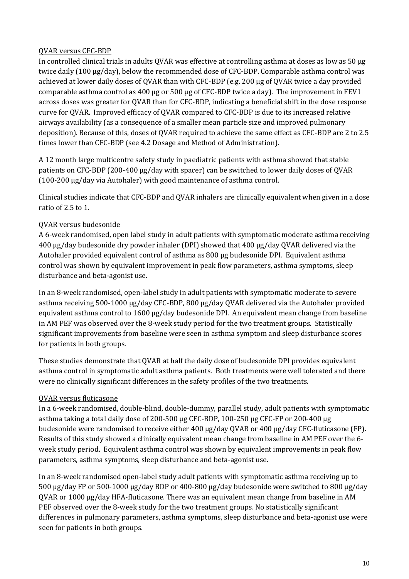### QVAR versus CFC-BDP

In controlled clinical trials in adults QVAR was effective at controlling asthma at doses as low as 50 µg twice daily (100 µg/day), below the recommended dose of CFC-BDP. Comparable asthma control was achieved at lower daily doses of QVAR than with CFC-BDP (e.g. 200 µg of QVAR twice a day provided comparable asthma control as  $400 \mu g$  or  $500 \mu g$  of CFC-BDP twice a day). The improvement in FEV1 across doses was greater for QVAR than for CFC-BDP, indicating a beneficial shift in the dose response curve for QVAR. Improved efficacy of QVAR compared to CFC-BDP is due to its increased relative airways availability (as a consequence of a smaller mean particle size and improved pulmonary deposition). Because of this, doses of QVAR required to achieve the same effect as CFC-BDP are 2 to 2.5 times lower than CFC-BDP (see 4.2 Dosage and Method of Administration).

A 12 month large multicentre safety study in paediatric patients with asthma showed that stable patients on CFC-BDP (200-400 µg/day with spacer) can be switched to lower daily doses of QVAR (100-200 µg/day via Autohaler) with good maintenance of asthma control.

Clinical studies indicate that CFC-BDP and QVAR inhalers are clinically equivalent when given in a dose ratio of 2.5 to 1.

# QVAR versus budesonide

A 6-week randomised, open label study in adult patients with symptomatic moderate asthma receiving 400 µg/day budesonide dry powder inhaler (DPI) showed that 400 µg/day QVAR delivered via the Autohaler provided equivalent control of asthma as 800 µg budesonide DPI. Equivalent asthma control was shown by equivalent improvement in peak flow parameters, asthma symptoms, sleep disturbance and beta-agonist use.

In an 8-week randomised, open-label study in adult patients with symptomatic moderate to severe asthma receiving 500-1000 µg/day CFC-BDP, 800 µg/day QVAR delivered via the Autohaler provided equivalent asthma control to 1600 µg/day budesonide DPI. An equivalent mean change from baseline in AM PEF was observed over the 8-week study period for the two treatment groups. Statistically significant improvements from baseline were seen in asthma symptom and sleep disturbance scores for patients in both groups.

These studies demonstrate that QVAR at half the daily dose of budesonide DPI provides equivalent asthma control in symptomatic adult asthma patients. Both treatments were well tolerated and there were no clinically significant differences in the safety profiles of the two treatments.

# QVAR versus fluticasone

In a 6-week randomised, double-blind, double-dummy, parallel study, adult patients with symptomatic asthma taking a total daily dose of 200-500 µg CFC-BDP, 100-250 µg CFC-FP or 200-400 µg budesonide were randomised to receive either 400 µg/day QVAR or 400 µg/day CFC-fluticasone (FP). Results of this study showed a clinically equivalent mean change from baseline in AM PEF over the 6 week study period. Equivalent asthma control was shown by equivalent improvements in peak flow parameters, asthma symptoms, sleep disturbance and beta-agonist use.

In an 8-week randomised open-label study adult patients with symptomatic asthma receiving up to 500 µg/day FP or 500-1000 µg/day BDP or 400-800 µg/day budesonide were switched to 800 µg/day QVAR or 1000 µg/day HFA-fluticasone. There was an equivalent mean change from baseline in AM PEF observed over the 8-week study for the two treatment groups. No statistically significant differences in pulmonary parameters, asthma symptoms, sleep disturbance and beta-agonist use were seen for patients in both groups.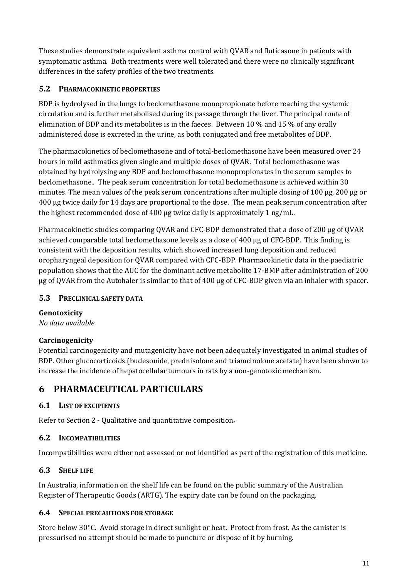These studies demonstrate equivalent asthma control with QVAR and fluticasone in patients with symptomatic asthma. Both treatments were well tolerated and there were no clinically significant differences in the safety profiles of the two treatments.

# **5.2 PHARMACOKINETIC PROPERTIES**

BDP is hydrolysed in the lungs to beclomethasone monopropionate before reaching the systemic circulation and is further metabolised during its passage through the liver. The principal route of elimination of BDP and its metabolites is in the faeces. Between 10 % and 15 % of any orally administered dose is excreted in the urine, as both conjugated and free metabolites of BDP.

The pharmacokinetics of beclomethasone and of total-beclomethasone have been measured over 24 hours in mild asthmatics given single and multiple doses of QVAR. Total beclomethasone was obtained by hydrolysing any BDP and beclomethasone monopropionates in the serum samples to beclomethasone.. The peak serum concentration for total beclomethasone is achieved within 30 minutes. The mean values of the peak serum concentrations after multiple dosing of 100 µg, 200 µg or 400 µg twice daily for 14 days are proportional to the dose. The mean peak serum concentration after the highest recommended dose of 400 µg twice daily is approximately 1 ng/mL.

Pharmacokinetic studies comparing QVAR and CFC-BDP demonstrated that a dose of 200 µg of QVAR achieved comparable total beclomethasone levels as a dose of 400 µg of CFC-BDP. This finding is consistent with the deposition results, which showed increased lung deposition and reduced oropharyngeal deposition for QVAR compared with CFC-BDP. Pharmacokinetic data in the paediatric population shows that the AUC for the dominant active metabolite 17-BMP after administration of 200 µg of QVAR from the Autohaler is similar to that of 400 µg of CFC-BDP given via an inhaler with spacer.

# **5.3 PRECLINICAL SAFETY DATA**

# **Genotoxicity**

*No data available*

# **Carcinogenicity**

Potential carcinogenicity and mutagenicity have not been adequately investigated in animal studies of BDP. Other glucocorticoids (budesonide, prednisolone and triamcinolone acetate) have been shown to increase the incidence of hepatocellular tumours in rats by a non-genotoxic mechanism.

# **6 PHARMACEUTICAL PARTICULARS**

# **6.1 LIST OF EXCIPIENTS**

Refer to Section 2 - Qualitative and quantitative composition.

# **6.2 INCOMPATIBILITIES**

Incompatibilities were either not assessed or not identified as part of the registration of this medicine.

# **6.3 SHELF LIFE**

In Australia, information on the shelf life can be found on the public summary of the Australian Register of Therapeutic Goods (ARTG). The expiry date can be found on the packaging.

# **6.4 SPECIAL PRECAUTIONS FOR STORAGE**

Store below 30ºC. Avoid storage in direct sunlight or heat. Protect from frost. As the canister is pressurised no attempt should be made to puncture or dispose of it by burning.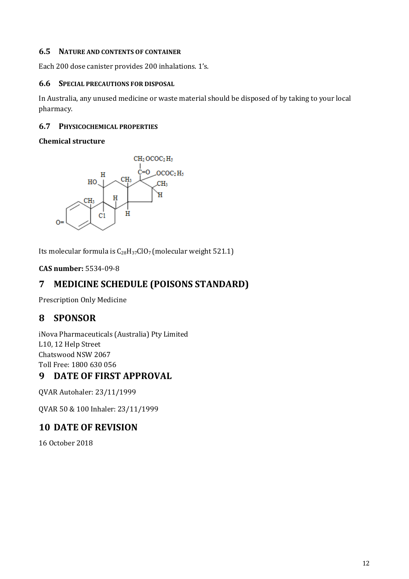### **6.5 NATURE AND CONTENTS OF CONTAINER**

Each 200 dose canister provides 200 inhalations. 1's.

#### **6.6 SPECIAL PRECAUTIONS FOR DISPOSAL**

In Australia, any unused medicine or waste material should be disposed of by taking to your local pharmacy.

#### **6.7 PHYSICOCHEMICAL PROPERTIES**

#### **Chemical structure**



Its molecular formula is  $C_{28}H_{37}ClO_7$  (molecular weight 521.1)

**CAS number:** 5534-09-8

# **7 MEDICINE SCHEDULE (POISONS STANDARD)**

Prescription Only Medicine

# **8 SPONSOR**

iNova Pharmaceuticals (Australia) Pty Limited L10, 12 Help Street Chatswood NSW 2067 Toll Free: 1800 630 056

# **9 DATE OF FIRST APPROVAL**

QVAR Autohaler: 23/11/1999

QVAR 50 & 100 Inhaler: 23/11/1999

# **10 DATE OF REVISION**

16 October 2018